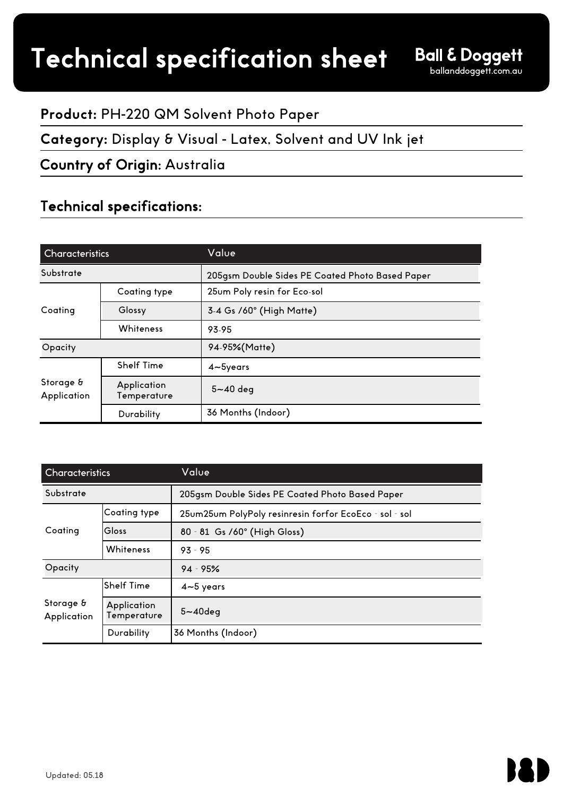# **Product:** PH-220 QM Solvent Photo Paper

## **Category:** Display & Visual - Latex, Solvent and UV Ink jet

# Country of Origin: Australia

# Technical specifications:

| <b>Characteristics</b>   |                            | Value                                           |  |
|--------------------------|----------------------------|-------------------------------------------------|--|
| Substrate                |                            | 205gsm Double Sides PE Coated Photo Based Paper |  |
| Coating                  | Coating type               | 25um Poly resin for Eco-sol                     |  |
|                          | Glossy                     | 3-4 Gs /60° (High Matte)                        |  |
|                          | Whiteness                  | 93-95                                           |  |
| Opacity                  |                            | 94-95%(Matte)                                   |  |
| Storage &<br>Application | <b>Shelf Time</b>          | $4\neg 5$ years                                 |  |
|                          | Application<br>Temperature | $5 - 40$ deg                                    |  |
|                          | Durability                 | 36 Months (Indoor)                              |  |

| <b>Characteristics</b>   |                                   | Value                                                  |  |
|--------------------------|-----------------------------------|--------------------------------------------------------|--|
| Substrate                |                                   | 205gsm Double Sides PE Coated Photo Based Paper        |  |
| Coating                  | Coating type                      | 25um25um PolyPoly resinresin forfor EcoEco - sol - sol |  |
|                          | Gloss                             | 80 - 81 Gs / 60° (High Gloss)                          |  |
|                          | Whiteness                         | $93 - 95$                                              |  |
| Opacity                  |                                   | $94 - 95%$                                             |  |
| Storage &<br>Application | <b>Shelf Time</b>                 | $4 - 5$ years                                          |  |
|                          | <b>Application</b><br>Temperature | $5 - 40$ deg                                           |  |
|                          | Durability                        | 36 Months (Indoor)                                     |  |